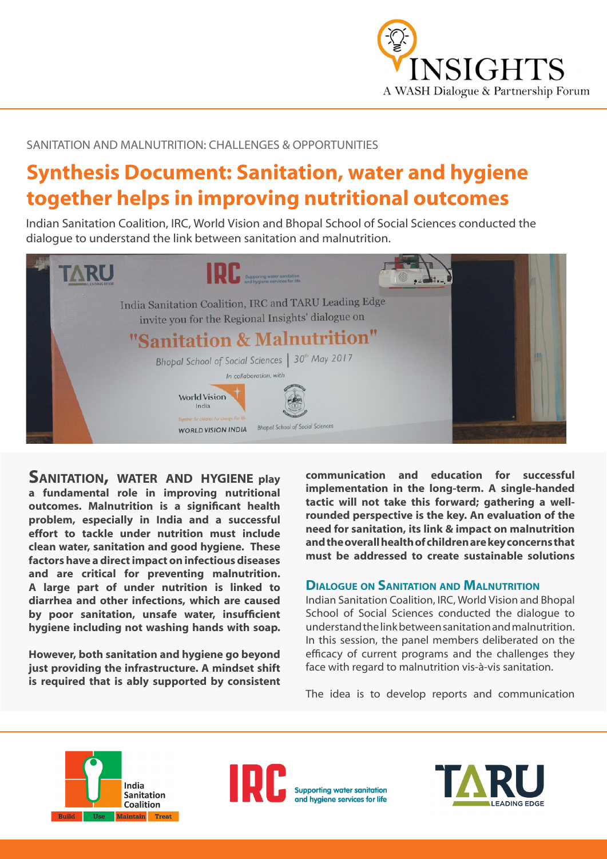

SANITATION AND MALNUTRITION: CHALLENGES & OPPORTUNITIES

# **Synthesis Document: Sanitation, water and hygiene together helps in improving nutritional outcomes**

Indian Sanitation Coalition, IRC, World Vision and Bhopal School of Social Sciences conducted the dialogue to understand the link between sanitation and malnutrition.



**Sanitation, water and hygiene play a fundamental role in improving nutritional outcomes. Malnutrition is a significant health problem, especially in India and a successful effort to tackle under nutrition must include clean water, sanitation and good hygiene. These factors have a direct impact on infectious diseases and are critical for preventing malnutrition. A large part of under nutrition is linked to diarrhea and other infections, which are caused by poor sanitation, unsafe water, insufficient hygiene including not washing hands with soap.** 

**However, both sanitation and hygiene go beyond just providing the infrastructure. A mindset shift is required that is ably supported by consistent**  **communication and education for successful implementation in the long-term. A single-handed tactic will not take this forward; gathering a wellrounded perspective is the key. An evaluation of the need for sanitation, its link & impact on malnutrition and the overall health of children are key concerns that must be addressed to create sustainable solutions**

## **Dialogue on Sanitation and Malnutrition**

Indian Sanitation Coalition, IRC, World Vision and Bhopal School of Social Sciences conducted the dialogue to understand the link between sanitation and malnutrition. In this session, the panel members deliberated on the efficacy of current programs and the challenges they face with regard to malnutrition vis-à-vis sanitation.

The idea is to develop reports and communication





**Supporting water sanitation** and hygiene services for life

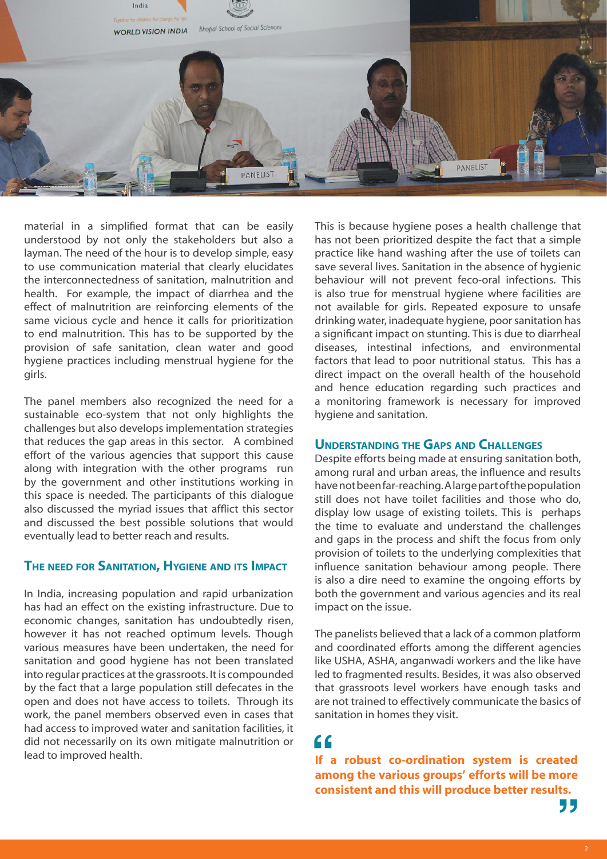

material in a simplified format that can be easily understood by not only the stakeholders but also a layman. The need of the hour is to develop simple, easy to use communication material that clearly elucidates the interconnectedness of sanitation, malnutrition and health. For example, the impact of diarrhea and the effect of malnutrition are reinforcing elements of the same vicious cycle and hence it calls for prioritization to end malnutrition. This has to be supported by the provision of safe sanitation, clean water and good hygiene practices including menstrual hygiene for the girls.

The panel members also recognized the need for a sustainable eco-system that not only highlights the challenges but also develops implementation strategies that reduces the gap areas in this sector. A combined effort of the various agencies that support this cause along with integration with the other programs run by the government and other institutions working in this space is needed. The participants of this dialogue also discussed the myriad issues that afflict this sector and discussed the best possible solutions that would eventually lead to better reach and results.

### **The need for Sanitation, Hygiene and its Impact**

In India, increasing population and rapid urbanization has had an effect on the existing infrastructure. Due to economic changes, sanitation has undoubtedly risen, however it has not reached optimum levels. Though various measures have been undertaken, the need for sanitation and good hygiene has not been translated into regular practices at the grassroots. It is compounded by the fact that a large population still defecates in the open and does not have access to toilets. Through its work, the panel members observed even in cases that had access to improved water and sanitation facilities, it did not necessarily on its own mitigate malnutrition or lead to improved health. **If a robust co-ordination system is created** 

This is because hygiene poses a health challenge that has not been prioritized despite the fact that a simple practice like hand washing after the use of toilets can save several lives. Sanitation in the absence of hygienic behaviour will not prevent feco-oral infections. This is also true for menstrual hygiene where facilities are not available for girls. Repeated exposure to unsafe drinking water, inadequate hygiene, poor sanitation has a significant impact on stunting. This is due to diarrheal diseases, intestinal infections, and environmental factors that lead to poor nutritional status. This has a direct impact on the overall health of the household and hence education regarding such practices and a monitoring framework is necessary for improved hygiene and sanitation.

# **Understanding the Gaps and Challenges**

Despite efforts being made at ensuring sanitation both, among rural and urban areas, the influence and results have not been far-reaching. A large part of the population still does not have toilet facilities and those who do, display low usage of existing toilets. This is perhaps the time to evaluate and understand the challenges and gaps in the process and shift the focus from only provision of toilets to the underlying complexities that influence sanitation behaviour among people. There is also a dire need to examine the ongoing efforts by both the government and various agencies and its real impact on the issue.

The panelists believed that a lack of a common platform and coordinated efforts among the different agencies like USHA, ASHA, anganwadi workers and the like have led to fragmented results. Besides, it was also observed that grassroots level workers have enough tasks and are not trained to effectively communicate the basics of sanitation in homes they visit.

**and C**<br> **a a robust** co-ordination system is created<br> **among the various groups' efforts will be more consistent and this will produce better results.**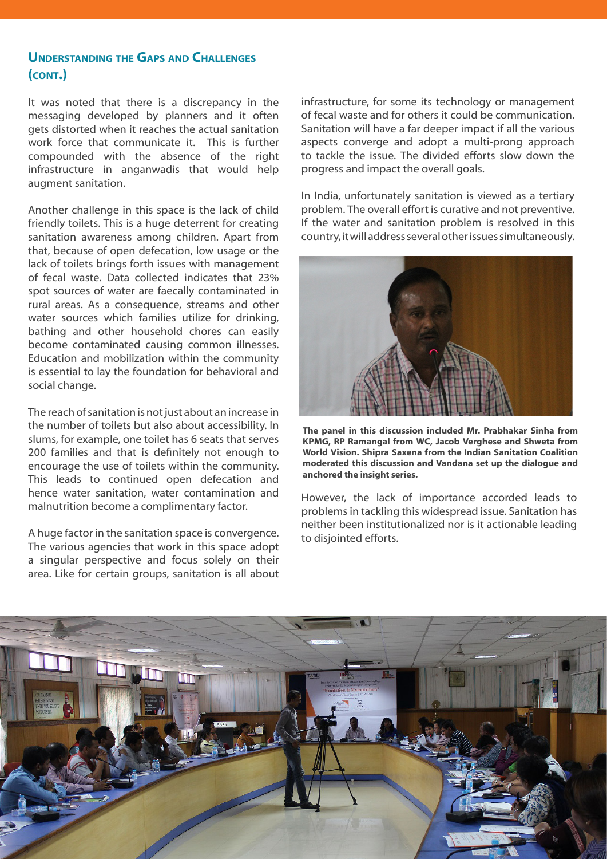# **Understanding the Gaps and Challenges (cont.)**

It was noted that there is a discrepancy in the messaging developed by planners and it often gets distorted when it reaches the actual sanitation work force that communicate it. This is further compounded with the absence of the right infrastructure in anganwadis that would help augment sanitation.

Another challenge in this space is the lack of child friendly toilets. This is a huge deterrent for creating sanitation awareness among children. Apart from that, because of open defecation, low usage or the lack of toilets brings forth issues with management of fecal waste. Data collected indicates that 23% spot sources of water are faecally contaminated in rural areas. As a consequence, streams and other water sources which families utilize for drinking, bathing and other household chores can easily become contaminated causing common illnesses. Education and mobilization within the community is essential to lay the foundation for behavioral and social change.

The reach of sanitation is not just about an increase in the number of toilets but also about accessibility. In slums, for example, one toilet has 6 seats that serves 200 families and that is definitely not enough to encourage the use of toilets within the community. This leads to continued open defecation and hence water sanitation, water contamination and malnutrition become a complimentary factor.

A huge factor in the sanitation space is convergence. The various agencies that work in this space adopt a singular perspective and focus solely on their area. Like for certain groups, sanitation is all about infrastructure, for some its technology or management of fecal waste and for others it could be communication. Sanitation will have a far deeper impact if all the various aspects converge and adopt a multi-prong approach to tackle the issue. The divided efforts slow down the progress and impact the overall goals.

In India, unfortunately sanitation is viewed as a tertiary problem. The overall effort is curative and not preventive. If the water and sanitation problem is resolved in this country, it will address several other issues simultaneously.



**The panel in this discussion included Mr. Prabhakar Sinha from KPMG, RP Ramangal from WC, Jacob Verghese and Shweta from World Vision. Shipra Saxena from the Indian Sanitation Coalition moderated this discussion and Vandana set up the dialogue and anchored the insight series.** 

However, the lack of importance accorded leads to problems in tackling this widespread issue. Sanitation has neither been institutionalized nor is it actionable leading to disjointed efforts.